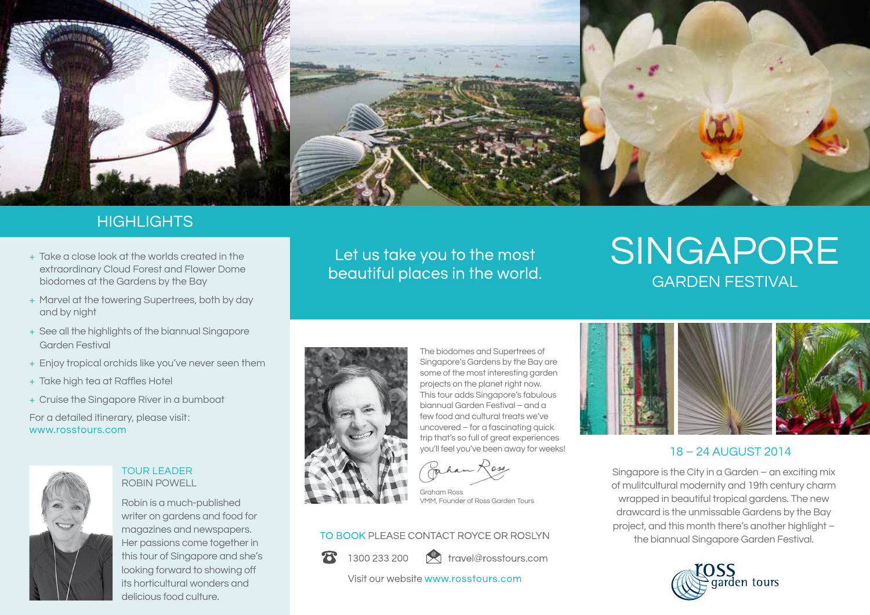

# **HIGHLIGHTS**

- + Take a close look at the worlds created in the extraordinary Cloud Forest and Flower Dome biodomes at the Gardens by the Bay
- + Marvel at the towering Supertrees, both by day and by night
- + See all the highlights of the biannual Singapore Garden Festival
- + Enjoy tropical orchids like you've never seen them
- + Take high tea at Raffles Hotel
- + Cruise the Singapore River in a bumboat

For a detailed itinerary, please visit : www.rosstours.com



## TOUR LEADER ROBIN POWELL

Robin is a much-published writer on gardens and food for magazines and newspapers. Her passions come together in this tour of Singapore and she's looking forward to showing off its horticultural wonders and delicious food culture.

Let us take you to the most beautiful places in the world.

# garden festival **SINGAPORE**



The biodomes and Supertrees of Singapore's Gardens by the Bay are some of the most interesting garden projects on the planet right now. This tour adds Singapore's fabulous biannual Garden Festival – and a few food and cultural treats we've uncovered – for a fascinating quick trip that's so full of great experiences you'll feel you've been away for weeks!

Graham Ross VMM, Founder of Ross Garden Tours

## TO BOOK PLEASE CONTACT ROYCE OR ROSLYN

1300 233 200

travel@rosstours.com

Visit our website www.rosstours.com



# 18 – 24 august 2014

Singapore is the City in a Garden – an exciting mix of mulitcultural modernity and 19th century charm wrapped in beautiful tropical gardens. The new drawcard is the unmissable Gardens by the Bay project, and this month there's another highlight – the biannual Singapore Garden Festival.